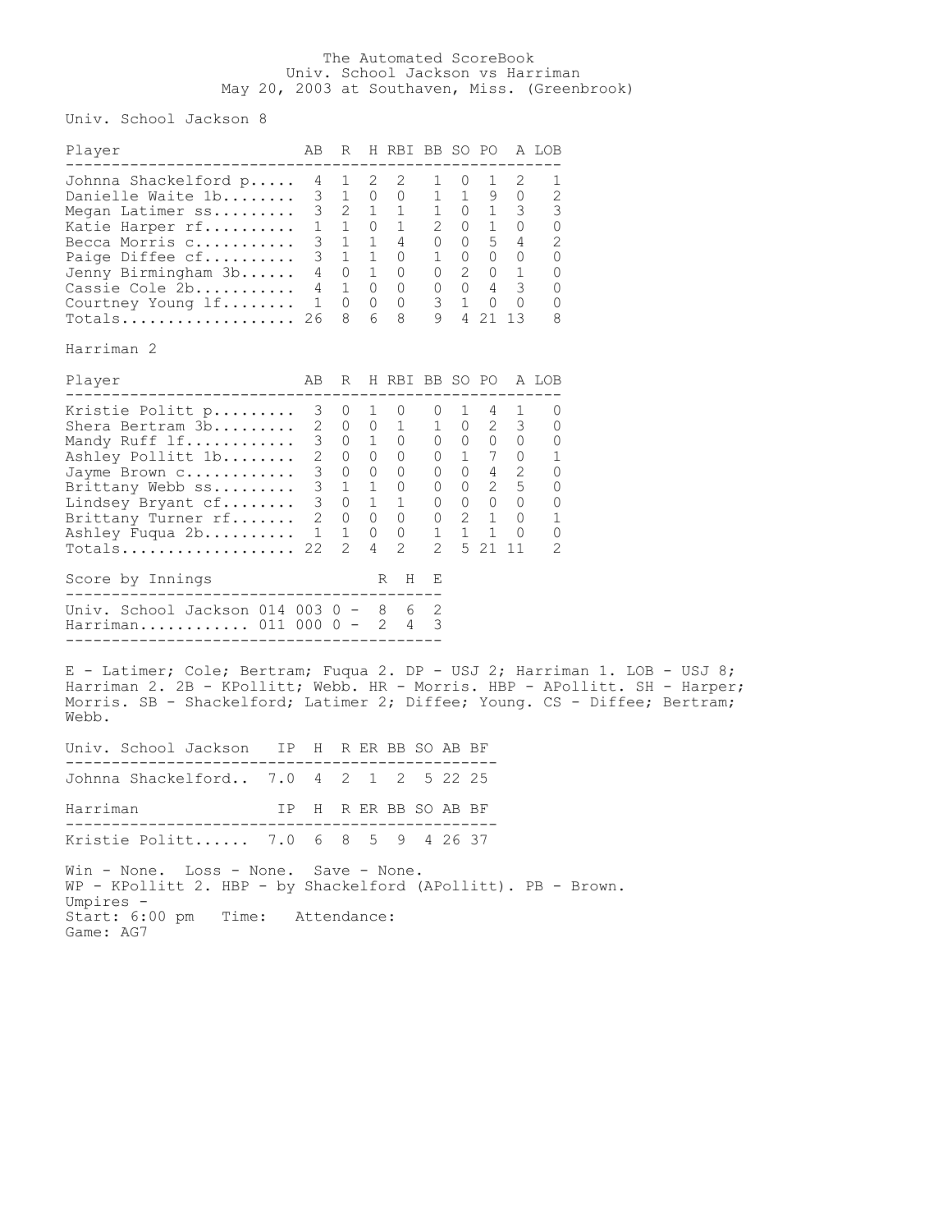## The Automated ScoreBook Univ. School Jackson vs Harriman May 20, 2003 at Southaven, Miss. (Greenbrook)

Univ. School Jackson 8

| Player                                                                                                                                                                                                                                                                                          |  | AB R H RBI BB SO PO A LOB |  |  |                      |  |
|-------------------------------------------------------------------------------------------------------------------------------------------------------------------------------------------------------------------------------------------------------------------------------------------------|--|---------------------------|--|--|----------------------|--|
| ------------------------------<br>Johnna Shackelford p 4 1 2 2 1 0 1 2<br>Johnna Shackelford p 4 1 2 2 1 0 1 2 1<br>Danielle Waite 1b 3 1 0 0 1 1 9 0 2<br>Megan Latimer ss 3 2 1 1 1 0 1 3 3<br>Katie Harper rf 1 1 0 1 2 0 1 0 0<br>Becca Morris c<br>Harriman 2                              |  |                           |  |  | ---------------<br>1 |  |
| Player                                                                                                                                                                                                                                                                                          |  | AB R H RBI BB SO PO A LOB |  |  |                      |  |
| Xristie Politt p 3 0 1 0 0 1 4 1 0<br>Shera Bertram 3b 2 0 0 1 1 0 2 3 0<br>Mandy Ruff 1f 3 0 1 0 0 0 0 0 0 0<br>Ashley Pollitt 1b 2 0 0 0 0 0 1 7 0 1<br>Jayme Brown c 3 0 0 0 0<br>Score by Innings                                                                                           |  | R H E                     |  |  |                      |  |
| Univ. School Jackson 014 003 0 - 8 6 2<br>Harriman 011 000 0 - 2 4 3                                                                                                                                                                                                                            |  |                           |  |  |                      |  |
| E - Latimer; Cole; Bertram; Fuqua 2. DP - USJ 2; Harriman 1. LOB - USJ 8;<br>Harriman 2. 2B - KPollitt; Webb. HR - Morris. HBP - APollitt. SH - Harper;<br>Morris. SB - Shackelford; Latimer 2; Diffee; Young. CS - Diffee; Bertram;<br>Webb.<br>Univ. School Jackson   IP  H  R ER BB SO AB BF |  |                           |  |  |                      |  |
|                                                                                                                                                                                                                                                                                                 |  |                           |  |  |                      |  |
| Johnna Shackelford 7.0 4 2 1 2 5 22 25<br>IP H R ER BB SO AB BF<br>Harriman<br>--------------------------------                                                                                                                                                                                 |  |                           |  |  |                      |  |
| Kristie Politt 7.0 6 8 5 9 4 26 37                                                                                                                                                                                                                                                              |  |                           |  |  |                      |  |
| Win - None. Loss - None. Save - None.<br>WP - KPollitt 2. HBP - by Shackelford (APollitt). PB - Brown.<br>Umpires -<br>Start: 6:00 pm<br>Time: Attendance:<br>Game: AG7                                                                                                                         |  |                           |  |  |                      |  |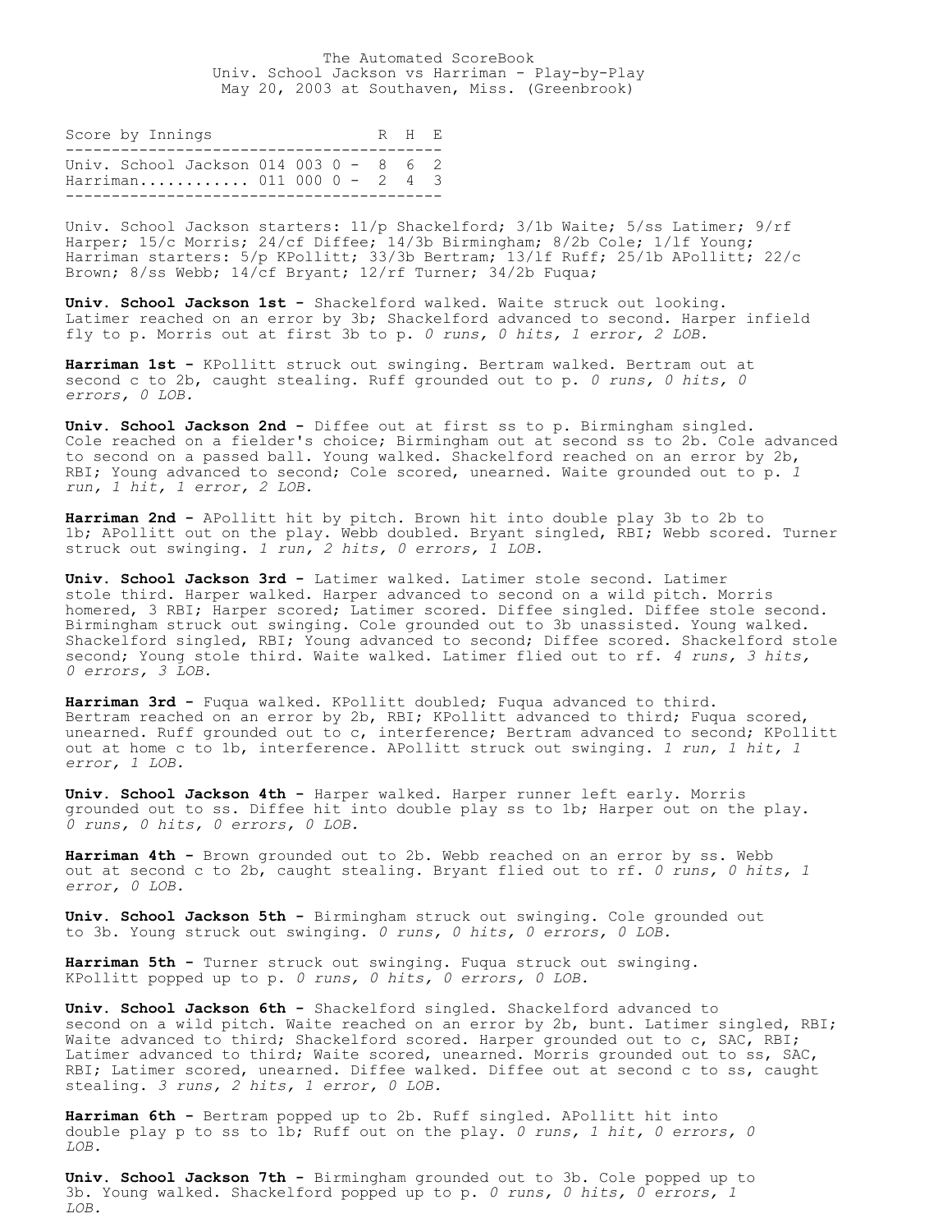The Automated ScoreBook Univ. School Jackson vs Harriman - Play-by-Play May 20, 2003 at Southaven, Miss. (Greenbrook)

| Score by Innings |  |                                                                        |  |  |  |  |  |  | R H F. |
|------------------|--|------------------------------------------------------------------------|--|--|--|--|--|--|--------|
|                  |  | Univ. School Jackson $014$ 003 0 - 8 6 2<br>Harriman 011 000 0 - 2 4 3 |  |  |  |  |  |  |        |

Univ. School Jackson starters: 11/p Shackelford; 3/1b Waite; 5/ss Latimer; 9/rf Harper; 15/c Morris; 24/cf Diffee; 14/3b Birmingham; 8/2b Cole; 1/lf Young; Harriman starters: 5/p KPollitt; 33/3b Bertram; 13/1f Ruff; 25/1b APollitt; 22/c Brown; 8/ss Webb; 14/cf Bryant; 12/rf Turner; 34/2b Fuqua;

**Univ. School Jackson 1st -** Shackelford walked. Waite struck out looking. Latimer reached on an error by 3b; Shackelford advanced to second. Harper infield fly to p. Morris out at first 3b to p. *0 runs, 0 hits, 1 error, 2 LOB.*

**Harriman 1st -** KPollitt struck out swinging. Bertram walked. Bertram out at second c to 2b, caught stealing. Ruff grounded out to p. *0 runs, 0 hits, 0 errors, 0 LOB.*

**Univ. School Jackson 2nd -** Diffee out at first ss to p. Birmingham singled. Cole reached on a fielder's choice; Birmingham out at second ss to 2b. Cole advanced to second on a passed ball. Young walked. Shackelford reached on an error by 2b, RBI; Young advanced to second; Cole scored, unearned. Waite grounded out to p. *1 run, 1 hit, 1 error, 2 LOB.*

**Harriman 2nd -** APollitt hit by pitch. Brown hit into double play 3b to 2b to 1b; APollitt out on the play. Webb doubled. Bryant singled, RBI; Webb scored. Turner struck out swinging. *1 run, 2 hits, 0 errors, 1 LOB.*

**Univ. School Jackson 3rd -** Latimer walked. Latimer stole second. Latimer stole third. Harper walked. Harper advanced to second on a wild pitch. Morris homered, 3 RBI; Harper scored; Latimer scored. Diffee singled. Diffee stole second. Birmingham struck out swinging. Cole grounded out to 3b unassisted. Young walked. Shackelford singled, RBI; Young advanced to second; Diffee scored. Shackelford stole second; Young stole third. Waite walked. Latimer flied out to rf. *4 runs, 3 hits, 0 errors, 3 LOB.*

**Harriman 3rd -** Fuqua walked. KPollitt doubled; Fuqua advanced to third. Bertram reached on an error by 2b, RBI; KPollitt advanced to third; Fuqua scored, unearned. Ruff grounded out to c, interference; Bertram advanced to second; KPollitt out at home c to 1b, interference. APollitt struck out swinging. *1 run, 1 hit, 1 error, 1 LOB.*

**Univ. School Jackson 4th -** Harper walked. Harper runner left early. Morris grounded out to ss. Diffee hit into double play ss to 1b; Harper out on the play. *0 runs, 0 hits, 0 errors, 0 LOB.*

**Harriman 4th -** Brown grounded out to 2b. Webb reached on an error by ss. Webb out at second c to 2b, caught stealing. Bryant flied out to rf. *0 runs, 0 hits, 1 error, 0 LOB.*

**Univ. School Jackson 5th -** Birmingham struck out swinging. Cole grounded out to 3b. Young struck out swinging. *0 runs, 0 hits, 0 errors, 0 LOB.*

**Harriman 5th -** Turner struck out swinging. Fuqua struck out swinging. KPollitt popped up to p. *0 runs, 0 hits, 0 errors, 0 LOB.*

**Univ. School Jackson 6th -** Shackelford singled. Shackelford advanced to second on a wild pitch. Waite reached on an error by 2b, bunt. Latimer singled, RBI; Waite advanced to third; Shackelford scored. Harper grounded out to c, SAC, RBI; Latimer advanced to third; Waite scored, unearned. Morris grounded out to ss, SAC, RBI; Latimer scored, unearned. Diffee walked. Diffee out at second c to ss, caught stealing. *3 runs, 2 hits, 1 error, 0 LOB.*

**Harriman 6th -** Bertram popped up to 2b. Ruff singled. APollitt hit into double play p to ss to 1b; Ruff out on the play. *0 runs, 1 hit, 0 errors, 0 LOB.*

**Univ. School Jackson 7th -** Birmingham grounded out to 3b. Cole popped up to 3b. Young walked. Shackelford popped up to p. *0 runs, 0 hits, 0 errors, 1 LOB.*